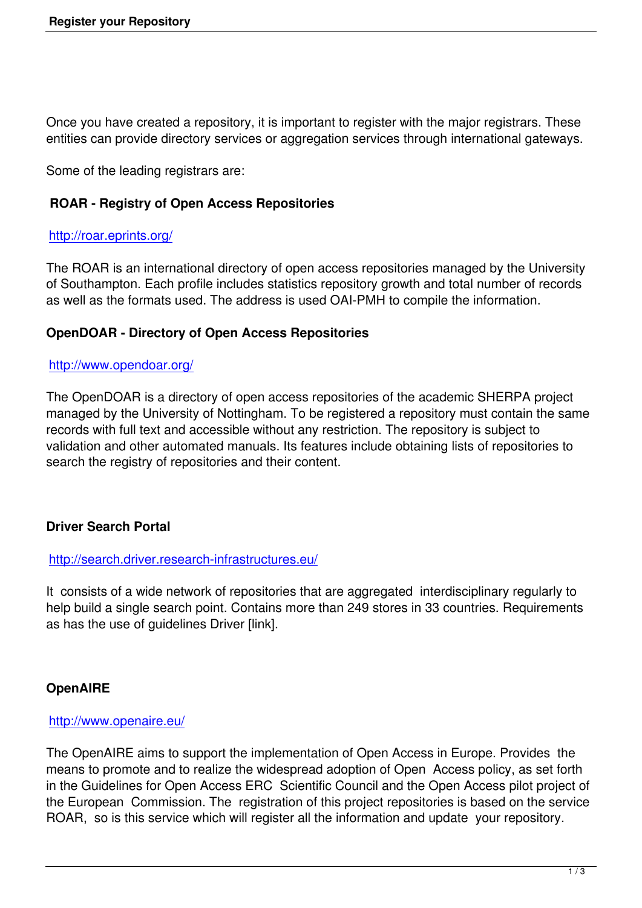Once you have created a repository, it is important to register with the major registrars. These entities can provide directory services or aggregation services through international gateways.

Some of the leading registrars are:

## **ROAR - Registry of Open Access Repositories**

## http://roar.eprints.org/

The ROAR is an international directory of open access repositories managed by the University [of Southampton. Each](http://roar.eprints.org/) profile includes statistics repository growth and total number of records as well as the formats used. The address is used OAI-PMH to compile the information.

## **OpenDOAR - Directory of Open Access Repositories**

### http://www.opendoar.org/

The OpenDOAR is a directory of open access repositories of the academic SHERPA project [managed by the University](http://www.opendoar.org/) of Nottingham. To be registered a repository must contain the same records with full text and accessible without any restriction. The repository is subject to validation and other automated manuals. Its features include obtaining lists of repositories to search the registry of repositories and their content.

## **Driver Search Portal**

#### http://search.driver.research-infrastructures.eu/

It consists of a wide network of repositories that are aggregated interdisciplinary regularly to [help build a single search point. Contains more](http://search.driver.research-infrastructures.eu/) than 249 stores in 33 countries. Requirements as has the use of guidelines Driver [link].

## **OpenAIRE**

#### http://www.openaire.eu/

The OpenAIRE aims to support the implementation of Open Access in Europe. Provides the [means to promote and to](http://www.openaire.eu/) realize the widespread adoption of Open Access policy, as set forth in the Guidelines for Open Access ERC Scientific Council and the Open Access pilot project of the European Commission. The registration of this project repositories is based on the service ROAR, so is this service which will register all the information and update your repository.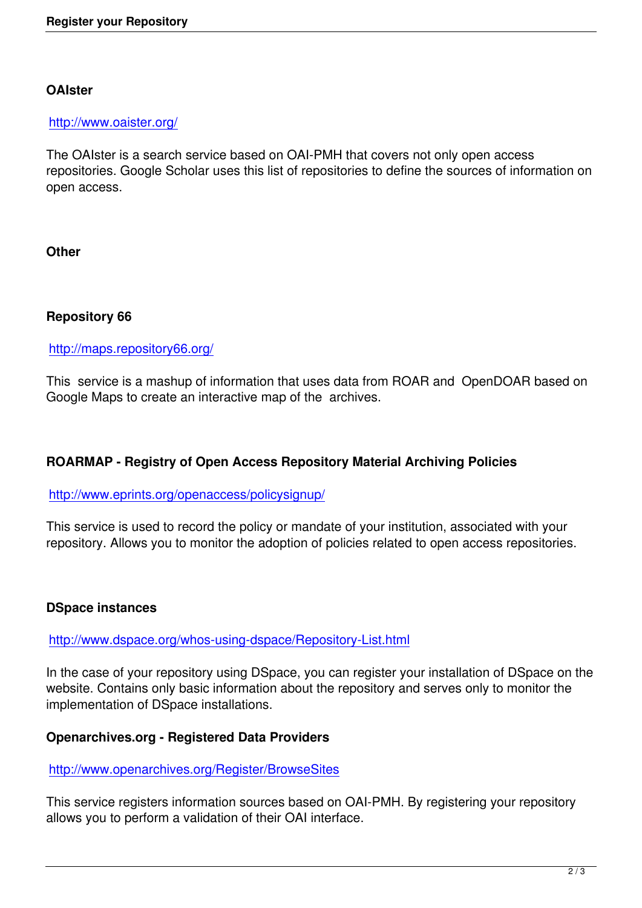## **OAIster**

#### http://www.oaister.org/

The OAIster is a search service based on OAI-PMH that covers not only open access [repositories. Google Sc](http://www.oaister.org/)holar uses this list of repositories to define the sources of information on open access.

**Other**

## **Repository 66**

### http://maps.repository66.org/

This service is a mashup of information that uses data from ROAR and OpenDOAR based on [Google Maps to create an inte](http://maps.repository66.org/)ractive map of the archives.

## **ROARMAP - Registry of Open Access Repository Material Archiving Policies**

#### http://www.eprints.org/openaccess/policysignup/

This service is used to record the policy or mandate of your institution, associated with your [repository. Allows you to monitor the adoption of](http://www.eprints.org/openaccess/policysignup/) policies related to open access repositories.

## **DSpace instances**

#### http://www.dspace.org/whos-using-dspace/Repository-List.html

In the case of your repository using DSpace, you can register your installation of DSpace on the [website. Contains only basic information about the repository an](http://www.dspace.org/whos-using-dspace/Repository-List.html)d serves only to monitor the implementation of DSpace installations.

#### **Openarchives.org - Registered Data Providers**

#### http://www.openarchives.org/Register/BrowseSites

This service registers information sources based on OAI-PMH. By registering your repository [allows you to perform a validation of their OAI interfa](http://www.openarchives.org/Register/BrowseSites)ce.